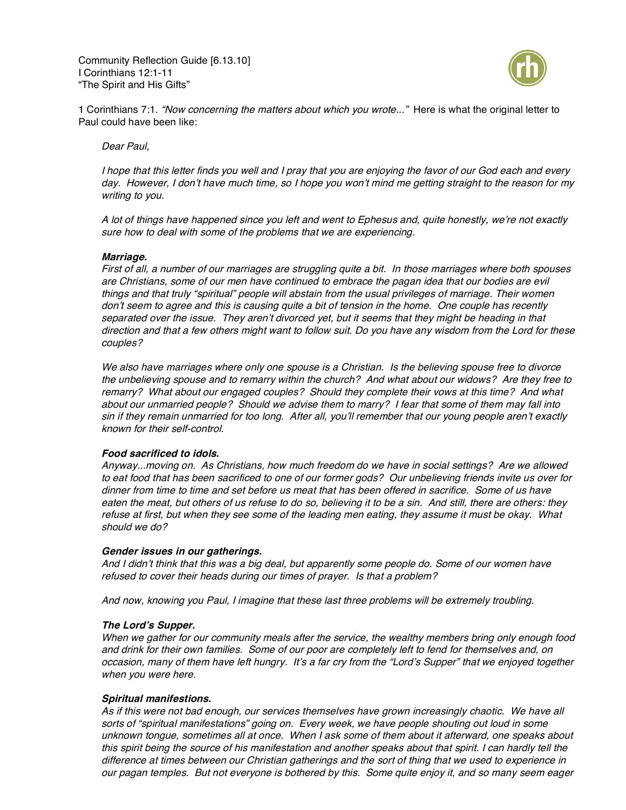Community Reflection Guide [6.13.10] I Corinthians 12:1-11 "The Spirit and His Gifts"



1 Corinthians 7:1. "Now concerning the matters about which you wrote..." Here is what the original letter to Paul could have been like:

## Dear Paul,

I hope that this letter finds you well and I pray that you are enjoying the favor of our God each and every day. However, I don't have much time, so I hope you won't mind me getting straight to the reason for my writing to you.

A lot of things have happened since you left and went to Ephesus and, quite honestly, we're not exactly sure how to deal with some of the problems that we are experiencing.

### **Marriage.**

First of all, <sup>a</sup> number of our marriages are struggling quite <sup>a</sup> bit. In those marriages where both spouses are Christians, some of our men have continued to embrace the pagan idea that our bodies are evil things and that truly "spiritual" people will abstain from the usual privileges of marriage. Their women don't seem to agree and this is causing quite <sup>a</sup> bit of tension in the home. One couple has recently separated over the issue. They aren't divorced yet, but it seems that they might be heading in that direction and that <sup>a</sup> few others might want to follow suit. Do you have any wisdom from the Lord for these couples?

We also have marriages where only one spouse is a Christian. Is the believing spouse free to divorce the unbelieving spouse and to remarry within the church? And what about our widows? Are they free to remarry? What about our engaged couples? Should they complete their vows at this time? And what about our unmarried people? Should we advise them to marry? I fear that some of them may fall into sin if they remain unmarried for too long. After all, you'll remember that our young people aren't exactly known for their self-control.

## **Food sacrificed to idols.**

Anyway...moving on. As Christians, how much freedom do we have in social settings? Are we allowed to eat food that has been sacrificed to one of our former gods? Our unbelieving friends invite us over for dinner from time to time and set before us meat that has been offered in sacrifice. Some of us have eaten the meat, but others of us refuse to do so, believing it to be <sup>a</sup> sin. And still, there are others: they refuse at first, but when they see some of the leading men eating, they assume it must be okay. What should we do?

#### **Gender issues in our gatherings.**

And I didn't think that this was <sup>a</sup> big deal, but apparently some people do. Some of our women have refused to cover their heads during our times of prayer. Is that <sup>a</sup> problem?

And now, knowing you Paul, I imagine that these last three problems will be extremely troubling.

#### **The Lord'<sup>s</sup> Supper.**

When we gather for our community meals after the service, the wealthy members bring only enough food and drink for their own families. Some of our poor are completely left to fend for themselves and, on occasion, many of them have left hungry. It'<sup>s</sup> <sup>a</sup> far cry from the "Lord'<sup>s</sup> Supper" that we enjoyed together when you were here.

## **Spiritual manifestions.**

As if this were not bad enough, our services themselves have grown increasingly chaotic. We have all sorts of "spiritual manifestations" going on. Every week, we have people shouting out loud in some unknown tongue, sometimes all at once. When I ask some of them about it afterward, one speaks about this spirit being the source of his manifestation and another speaks about that spirit. I can hardly tell the difference at times between our Christian gatherings and the sort of thing that we used to experience in our pagan temples. But not everyone is bothered by this. Some quite enjoy it, and so many seem eager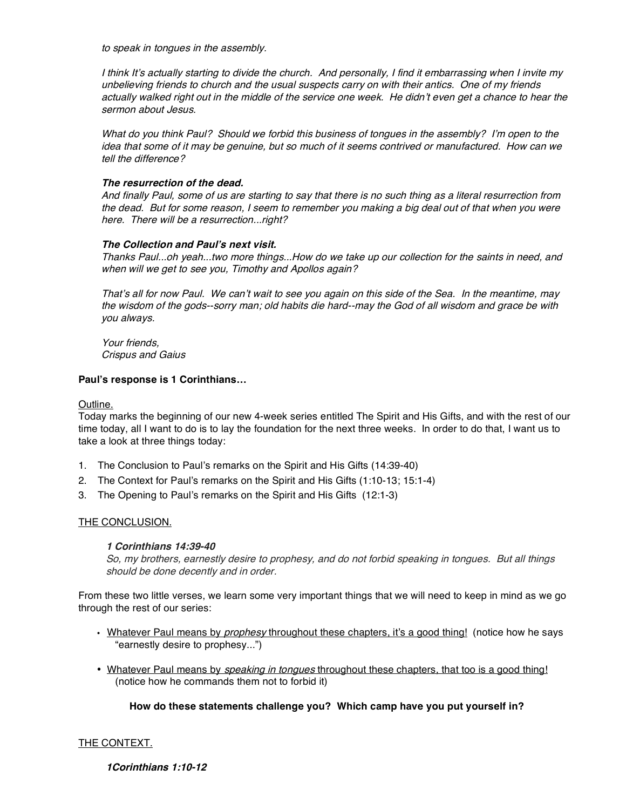to speak in tongues in the assembly.

I think It'<sup>s</sup> actually starting to divide the church. And personally, I find it embarrassing when I invite my unbelieving friends to church and the usual suspects carry on with their antics. One of my friends actually walked right out in the middle of the service one week. He didn't even get <sup>a</sup> chance to hear the sermon about Jesus.

What do you think Paul? Should we forbid this business of tongues in the assembly? I'<sup>m</sup> open to the idea that some of it may be genuine, but so much of it seems contrived or manufactured. How can we tell the difference?

## **The resurrection of the dead.**

And finally Paul, some of us are starting to say that there is no such thing as <sup>a</sup> literal resurrection from the dead. But for some reason, I seem to remember you making <sup>a</sup> big deal out of that when you were here. There will be a resurrection...right?

## **The Collection and Paul's next visit.**

Thanks Paul...oh yeah...two more things...How do we take up our collection for the saints in need, and when will we get to see you, Timothy and Apollos again?

That'<sup>s</sup> all for now Paul. We can't wait to see you again on this side of the Sea. In the meantime, may the wisdom of the gods--sorry man; old habits die hard--may the God of all wisdom and grace be with you always.

Your friends, Crispus and Gaius

## **Paul's response is 1 Corinthians…**

Outline.

Today marks the beginning of our new 4-week series entitled The Spirit and His Gifts, and with the rest of our time today, all I want to do is to lay the foundation for the next three weeks. In order to do that, I want us to take a look at three things today:

- 1. The Conclusion to Paul's remarks on the Spirit and His Gifts (14:39-40)
- 2. The Context for Paul's remarks on the Spirit and His Gifts (1:10-13; 15:1-4)
- 3. The Opening to Paul's remarks on the Spirit and His Gifts (12:1-3)

# THE CONCLUSION.

## **1 Corinthians 14:39-40**

So, my brothers, earnestly desire to prophesy, and do not forbid speaking in tongues. But all things should be done decently and in order.

From these two little verses, we learn some very important things that we will need to keep in mind as we go through the rest of our series:

- Whatever Paul means by *prophesy* throughout these chapters, it's a good thing! (notice how he says "earnestly desire to prophesy...")
- Whatever Paul means by *speaking in tongues* throughout these chapters, that too is a good thing! (notice how he commands them not to forbid it)

# **How do these statements challenge you? Which camp have you put yourself in?**

# THE CONTEXT.

**1Corinthians 1:10-12**